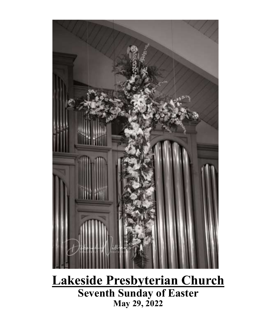

**Lakeside Presbyterian Church Seventh Sunday of Easter May 29, 2022**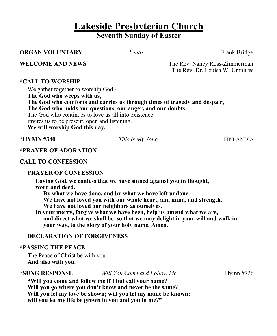# **Lakeside Presbyterian Church Seventh Sunday of Easter**

**ORGAN VOLUNTARY** *<i>Lento Lento* **Frank Bridge** 

**WELCOME AND NEWS** The Rev. Nancy Ross-Zimmerman The Rev. Dr. Louisa W. Umphres

# **\*CALL TO WORSHIP**

We gather together to worship God -

**The God who weeps with us,** 

**The God who comforts and carries us through times of tragedy and despair, The God who holds our questions, our anger, and our doubts,**

The God who continues to love us all into existence

invites us to be present, open and listening.

**We will worship God this day.**

# **\*HYMN #340** *This Is My Song* FINLANDIA

# **\*PRAYER OF ADORATION**

# **CALL TO CONFESSION**

# **PRAYER OF CONFESSION**

**Loving God, we confess that we have sinned against you in thought, word and deed.** 

**By what we have done, and by what we have left undone. We have not loved you with our whole heart, and mind, and strength, We have not loved our neighbors as ourselves.** 

**In your mercy, forgive what we have been, help us amend what we are, and direct what we shall be, so that we may delight in your will and walk in your way, to the glory of your holy name. Amen.**

# **DECLARATION OF FORGIVENESS**

# **\*PASSING THE PEACE**

The Peace of Christ be with you. **And also with you.**

\***SUNG RESPONSE** *Will You Come and Follow Me* Hymn #726

**"Will you come and follow me if I but call your name? Will you go where you don't know and never be the same? Will you let my love be shown; will you let my name be known; will you let my life be grown in you and you in me?"**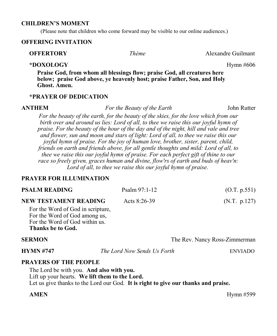### **CHILDREN'S MOMENT**

(Please note that children who come forward may be visible to our online audiences.)

### **OFFERING INVITATION**

### **OFFERTORY** *Thème* Alexandre Guilmant

**\*DOXOLOGY** Hymn #606

**Praise God, from whom all blessings flow; praise God, all creatures here below; praise God above, ye heavenly host; praise Father, Son, and Holy Ghost. Amen.**

### **\*PRAYER OF DEDICATION**

**ANTHEM** *For the Beauty of the Earth* John Rutter

*For the beauty of the earth, for the beauty of the skies, for the love which from our birth over and around us lies: Lord of all, to thee we raise this our joyful hymn of praise. For the beauty of the hour of the day and of the night, hill and vale and tree and flower, sun and moon and stars of light: Lord of all, to thee we raise this our joyful hymn of praise. For the joy of human love, brother, sister, parent, child, friends on earth and friends above, for all gentle thoughts and mild: Lord of all, to thee we raise this our joyful hymn of praise. For each perfect gift of thine to our race so freely given, graces human and divine, flow'rs of earth and buds of heav'n: Lord of all, to thee we raise this our joyful hymn of praise.*

### **PRAYER FOR ILLUMINATION**

| <b>PSALM READING</b>                                                                                                                                      | Psalm 97:1-12               | (O.T. p.551)                  |
|-----------------------------------------------------------------------------------------------------------------------------------------------------------|-----------------------------|-------------------------------|
| <b>NEW TESTAMENT READING</b><br>For the Word of God in scripture,<br>For the Word of God among us,<br>For the Word of God within us.<br>Thanks be to God. | Acts $8:26-39$              | (N.T. p.127)                  |
| <b>SERMON</b>                                                                                                                                             |                             | The Rev. Nancy Ross-Zimmerman |
| HYMN#747                                                                                                                                                  | The Lord Now Sends Us Forth | ENVIADO.                      |

### **PRAYERS OF THE PEOPLE**

The Lord be with you. **And also with you.** Lift up your hearts. **We lift them to the Lord.** Let us give thanks to the Lord our God. **It is right to give our thanks and praise.**

**AMEN** Hymn #599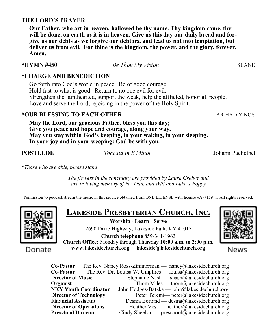# **THE LORD'S PRAYER**

**Our Father, who art in heaven, hallowed be thy name. Thy kingdom come, thy will be done, on earth as it is in heaven. Give us this day our daily bread and forgive us our debts as we forgive our debtors, and lead us not into temptation, but deliver us from evil. For thine is the kingdom, the power, and the glory, forever. Amen.**

**\*HYMN #450** *Be Thou My Vision* SLANE

# **\*CHARGE AND BENEDICTION**

Go forth into God's world in peace. Be of good courage. Hold fast to what is good. Return to no one evil for evil. Strengthen the fainthearted, support the weak, help the afflicted, honor all people. Love and serve the Lord, rejoicing in the power of the Holy Spirit.

# **\*OUR BLESSING TO EACH OTHER** AR HYD Y NOS

**May the Lord, our gracious Father, bless you this day; Give you peace and hope and courage, along your way. May you stay within God's keeping, in your waking, in your sleeping. In your joy and in your weeping: God be with you.**

**POSTLUDE** *Toccata in E Minor* Johann Pachelbel

*\*Those who are able, please stand*

*The flowers in the sanctuary are provided by Laura Greiwe and are in loving memory of her Dad, and Will and Luke's Poppy*

Permission to podcast/stream the music in this service obtained from ONE LICENSE with license #A-715941. All rights reserved.



**Lakeside Presbyterian Church, Inc.** 

**Worship · Learn · Serve** 2690 Dixie Highway, Lakeside Park, KY 41017

**Church telephone** 859-341-1963 **Church Office:** Monday through Thursday **10:00 a.m. to 2:00 p.m. www.lakesidechurch.org · lakeside@lakesidechurch.org**



News

Donate

| Co-Pastor                     |                              | The Rev. Nancy Ross-Zimmerman — nancy@lakesidechurch.org   |
|-------------------------------|------------------------------|------------------------------------------------------------|
| Co-Pastor                     |                              | The Rev. Dr. Louisa W. Umphres — louisa@lakesidechurch.org |
| <b>Director of Music</b>      |                              | Stephanie Nash — snash@lakesidechurch.org                  |
| Organist                      |                              | Thom Miles — thom $@$ lakesidechurch.org                   |
|                               | <b>NKY Youth Coordinator</b> | John Hodges-Batzka — john@lakesidechurch.org               |
| <b>Director of Technology</b> |                              | Peter Teremi— peter@lakesidechurch.org                     |
| <b>Financial Assistant</b>    |                              | Desma Borland — desma $@$ lakesidechurch.org               |
| <b>Director of Operations</b> |                              | Heather Vest — heather@lakesidechurch.org                  |
| <b>Preschool Director</b>     |                              | Cindy Sheehan — preschool@lakesidechurch.org               |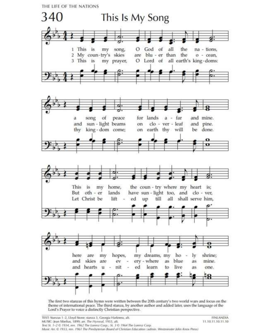THE LIFE OF THE NATIONS



The first two stanzas of this hymn were written between the 20th century's two world wars and focus on the theme of international peace. The third stanza, by another author and added later, uses the language of the Lord's Prayer to voice a distinctly Christian perspective.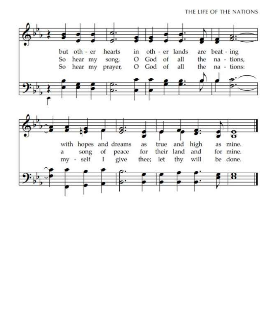THE LIFE OF THE NATIONS

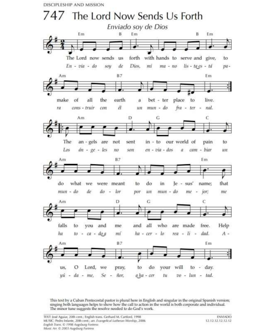DISCIPLESHIP AND MISSION



This text by a Cuban Pentecostal pastor is plural here in English and singular in the original Spanish version;<br>singing both languages helps to show how the call to action in the world is both corporate and individual. The minor tune suggests the resolve needed to do God's work.